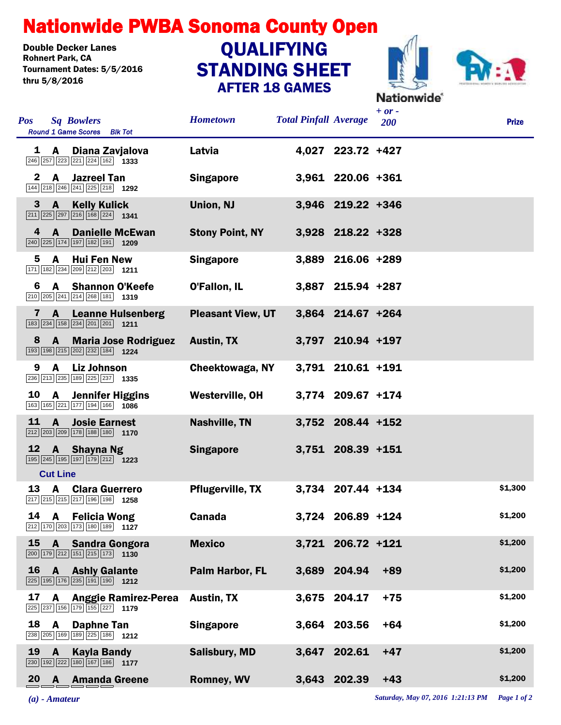## Nationwide PWBA Sonoma County Open

Double Decker Lanes<br>Rohnert Park, CA Tournament Dates: 5/5/2016 thru 5/8/2016

## STANDING SHEET AFTER 18 GAMES **QUALIFYING**



| Pos          |                 | <b>Sq Bowlers</b><br><b>Round 1 Game Scores</b> Blk Tot                                                                | <b>Hometown</b>          | <b>Total Pinfall Average</b> |                   | $+ or -$<br>200 | <b>Prize</b> |
|--------------|-----------------|------------------------------------------------------------------------------------------------------------------------|--------------------------|------------------------------|-------------------|-----------------|--------------|
| 1            | A               | Diana Zavjalova                                                                                                        | Latvia                   |                              | 4,027 223.72 +427 |                 |              |
| $\mathbf{2}$ | $\mathbf{A}$    | <b>Jazreel Tan</b><br>144 218 246 241 225 218 1292                                                                     | <b>Singapore</b>         |                              | 3,961 220.06 +361 |                 |              |
| 3            | $\mathbf{A}$    | <b>Kelly Kulick</b><br>$\boxed{211}$ $\boxed{225}$ $\boxed{297}$ $\boxed{216}$ $\boxed{168}$ $\boxed{224}$ <b>1341</b> | Union, NJ                |                              | 3,946 219.22 +346 |                 |              |
| 4            | $\mathsf{A}$    | <b>Danielle McEwan</b><br>$\boxed{240}$ $\boxed{225}$ 174 197 182 191 1209                                             | <b>Stony Point, NY</b>   |                              | 3,928 218.22 +328 |                 |              |
| 5.           | A               | <b>Hui Fen New</b><br>171 182 234 209 212 203 1211                                                                     | <b>Singapore</b>         |                              | 3,889 216.06 +289 |                 |              |
| 6            |                 | A Shannon O'Keefe<br>210 205 241 214 268 181 1319                                                                      | O'Fallon, IL             |                              | 3,887 215.94 +287 |                 |              |
| $\mathbf{7}$ | A               | <b>Leanne Hulsenberg</b><br>183 234 158 234 201 201 1211                                                               | <b>Pleasant View, UT</b> |                              | 3,864 214.67 +264 |                 |              |
| 8            | $\mathbf{A}$    | <b>Maria Jose Rodriguez</b><br>193 198 215 202 232 184 1224                                                            | <b>Austin, TX</b>        |                              | 3,797 210.94 +197 |                 |              |
| 9            | A               | <b>Liz Johnson</b><br>236 213 235 189 225 237 1335                                                                     | Cheektowaga, NY          |                              | 3,791 210.61 +191 |                 |              |
| 10           | A —             | <b>Jennifer Higgins</b><br>163 165 221 177 194 166 1086                                                                | Westerville, OH          |                              | 3,774 209.67 +174 |                 |              |
| 11           | A               | <b>Josie Earnest</b><br>212 203 209 178 188 180 170                                                                    | <b>Nashville, TN</b>     |                              | 3,752 208.44 +152 |                 |              |
| 12           | <b>Cut Line</b> | A Shayna Ng<br>195 245 195 197 179 212 1223                                                                            | <b>Singapore</b>         |                              | 3,751 208.39 +151 |                 |              |
| 13           | A               | <b>Clara Guerrero</b><br>217 215 215 217 196 198 1258                                                                  | <b>Pflugerville, TX</b>  |                              | 3,734 207.44 +134 |                 | \$1,300      |
|              |                 | 14 A Felicia Wong<br>212 170 203 173 180 189 1127                                                                      | Canada                   |                              | 3,724 206.89 +124 |                 | \$1,200      |
| <b>15</b>    |                 | A Sandra Gongora<br>200 179 212 151 215 173 1130                                                                       | <b>Mexico</b>            |                              | 3,721 206.72 +121 |                 | \$1,200      |
| <b>16</b>    |                 | <b>A</b> Ashly Galante<br>225 195 176 235 191 190 1212                                                                 | Palm Harbor, FL          |                              | 3.689 204.94      | $+89$           | \$1,200      |
| 17           | $\mathbf{A}$    | <b>Anggie Ramirez-Perea</b><br>225 237 156 179 155 227 1179                                                            | <b>Austin, TX</b>        |                              | 3,675 204.17      | $+75$           | \$1,200      |
| 18           | A               | <b>Daphne Tan</b><br>238 205 169 189 225 186 1212                                                                      | <b>Singapore</b>         |                              | 3,664 203.56      | $+64$           | \$1,200      |
| 19           | $\mathbf{A}$    | <b>Kayla Bandy</b><br>230 192 222 180 167 186 1177                                                                     | <b>Salisbury, MD</b>     |                              | 3,647 202.61      | $+47$           | \$1,200      |
| 20           |                 | <b>A</b> Amanda Greene                                                                                                 | <b>Romney, WV</b>        |                              | 3,643 202.39      | $+43$           | \$1,200      |